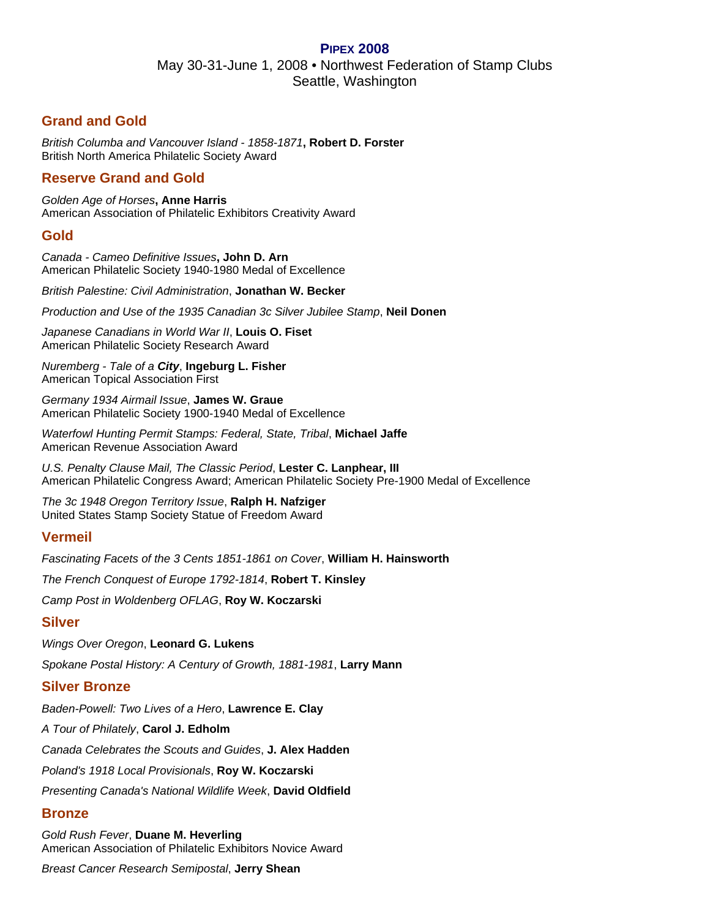### **PIPEX 2008**

May 30-31-June 1, 2008 • Northwest Federation of Stamp Clubs Seattle, Washington

## **Grand and Gold**

*British Columba and Vancouver Island - 1858-1871***, Robert D. Forster** British North America Philatelic Society Award

## **Reserve Grand and Gold**

*Golden Age of Horses***, Anne Harris**  American Association of Philatelic Exhibitors Creativity Award

### **Gold**

*Canada - Cameo Definitive Issues***, John D. Arn**  American Philatelic Society 1940-1980 Medal of Excellence

*British Palestine: Civil Administration*, **Jonathan W. Becker**

*Production and Use of the 1935 Canadian 3c Silver Jubilee Stamp*, **Neil Donen**

*Japanese Canadians in World War II*, **Louis O. Fiset**  American Philatelic Society Research Award

*Nuremberg - Tale of a City*, **Ingeburg L. Fisher**  American Topical Association First

*Germany 1934 Airmail Issue*, **James W. Graue** American Philatelic Society 1900-1940 Medal of Excellence

*Waterfowl Hunting Permit Stamps: Federal, State, Tribal*, **Michael Jaffe**  American Revenue Association Award

*U.S. Penalty Clause Mail, The Classic Period*, **Lester C. Lanphear, III** American Philatelic Congress Award; American Philatelic Society Pre-1900 Medal of Excellence

*The 3c 1948 Oregon Territory Issue*, **Ralph H. Nafziger** United States Stamp Society Statue of Freedom Award

### **Vermeil**

*Fascinating Facets of the 3 Cents 1851-1861 on Cover*, **William H. Hainsworth**

*The French Conquest of Europe 1792-1814*, **Robert T. Kinsley**

*Camp Post in Woldenberg OFLAG*, **Roy W. Koczarski**

#### **Silver**

*Wings Over Oregon*, **Leonard G. Lukens** *Spokane Postal History: A Century of Growth, 1881-1981*, **Larry Mann**

### **Silver Bronze**

*Baden-Powell: Two Lives of a Hero*, **Lawrence E. Clay**

*A Tour of Philately*, **Carol J. Edholm**

*Canada Celebrates the Scouts and Guides*, **J. Alex Hadden**

*Poland's 1918 Local Provisionals*, **Roy W. Koczarski**

*Presenting Canada's National Wildlife Week*, **David Oldfield**

### **Bronze**

*Gold Rush Fever*, **Duane M. Heverling** American Association of Philatelic Exhibitors Novice Award

*Breast Cancer Research Semipostal*, **Jerry Shean**